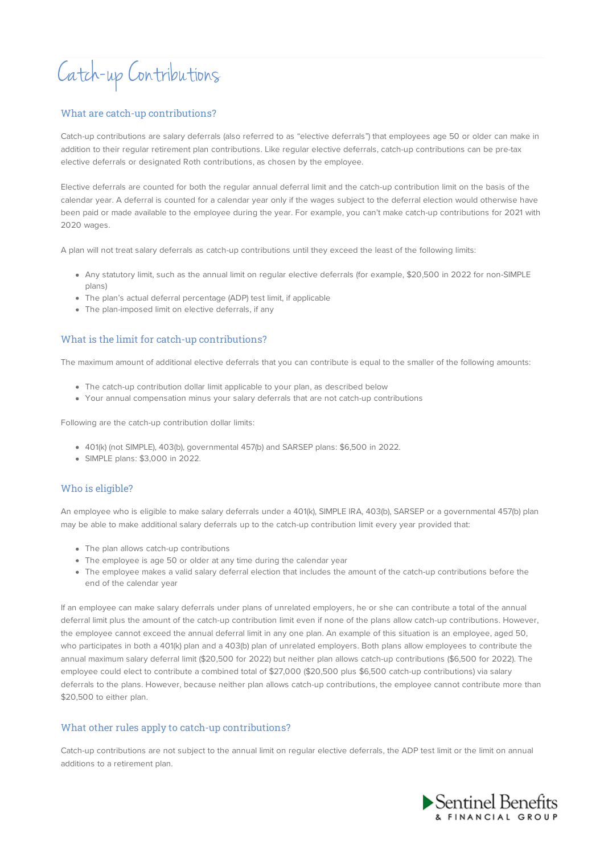# Catch-up Contributions

### What are catch-up contributions?

Catch-up contributions are salary deferrals (also referred to as "elective deferrals") that employees age 50 or older can make in addition to their regular retirement plan contributions. Like regular elective deferrals, catch-up contributions can be pre-tax elective deferrals or designated Roth contributions, as chosen by the employee.

Elective deferrals are counted for both the regular annual deferral limit and the catch-up contribution limit on the basis of the calendar year. A deferral is counted for a calendar year only if the wages subject to the deferral election would otherwise have been paid or made available to the employee during the year. For example, you can't make catch-up contributions for 2021 with 2020 wages.

A plan will not treat salary deferrals as catch-up contributions until they exceed the least of the following limits:

- Any statutory limit, such as the annual limit on regular elective deferrals (for example, \$20,500 in 2022 for non-SIMPLE plans)
- The plan's actual deferral percentage (ADP) test limit, if applicable
- The plan-imposed limit on elective deferrals, if any

## What is the limit for catch-up contributions?

The maximum amount of additional elective deferrals that you can contribute is equal to the smaller of the following amounts:

- The catch-up contribution dollar limit applicable to your plan, as described below
- Your annual compensation minus your salary deferrals that are not catch-up contributions

Following are the catch-up contribution dollar limits:

- 401(k) (not SIMPLE), 403(b), governmental 457(b) and SARSEP plans: \$6,500 in 2022.
- SIMPLE plans: \$3,000 in 2022.

#### Who is eligible?

An employee who is eligible to make salary deferrals under a 401(k), SIMPLE IRA, 403(b), SARSEP or a governmental 457(b) plan may be able to make additional salary deferrals up to the catch-up contribution limit every year provided that:

- The plan allows catch-up contributions
- The employee is age 50 or older at any time during the calendar year
- The employee makes a valid salary deferral election that includes the amount of the catch-up contributions before the end of the calendar year

If an employee can make salary deferrals under plans of unrelated employers, he or she can contribute a total of the annual deferral limit plus the amount of the catch-up contribution limit even if none of the plans allow catch-up contributions. However, the employee cannot exceed the annual deferral limit in any one plan. An example of this situation is an employee, aged 50, who participates in both a 401(k) plan and a 403(b) plan of unrelated employers. Both plans allow employees to contribute the annual maximum salary deferral limit (\$20,500 for 2022) but neither plan allows catch-up contributions (\$6,500 for 2022). The employee could elect to contribute a combined total of \$27,000 (\$20,500 plus \$6,500 catch-up contributions) via salary deferrals to the plans. However, because neither plan allows catch-up contributions, the employee cannot contribute more than \$20,500 to either plan.

#### What other rules apply to catch-up contributions?

Catch-up contributions are not subject to the annual limit on regular elective deferrals, the ADP test limit or the limit on annual additions to a retirement plan.